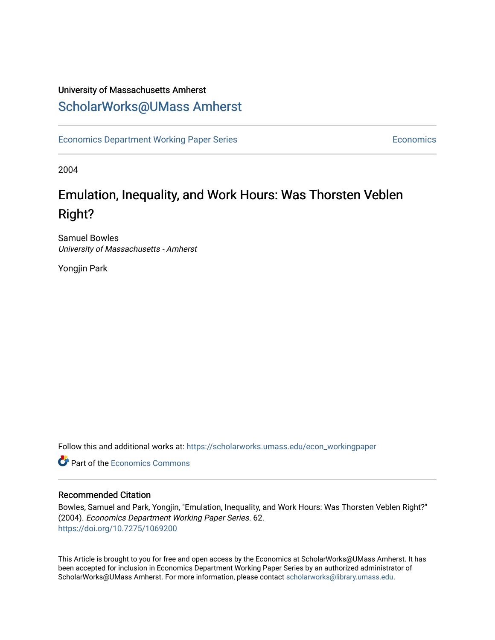### University of Massachusetts Amherst [ScholarWorks@UMass Amherst](https://scholarworks.umass.edu/)

[Economics Department Working Paper Series](https://scholarworks.umass.edu/econ_workingpaper) **Economics** Economics

2004

## Emulation, Inequality, and Work Hours: Was Thorsten Veblen Right?

Samuel Bowles University of Massachusetts - Amherst

Yongjin Park

Follow this and additional works at: [https://scholarworks.umass.edu/econ\\_workingpaper](https://scholarworks.umass.edu/econ_workingpaper?utm_source=scholarworks.umass.edu%2Fecon_workingpaper%2F62&utm_medium=PDF&utm_campaign=PDFCoverPages) 

**C** Part of the [Economics Commons](http://network.bepress.com/hgg/discipline/340?utm_source=scholarworks.umass.edu%2Fecon_workingpaper%2F62&utm_medium=PDF&utm_campaign=PDFCoverPages)

#### Recommended Citation

Bowles, Samuel and Park, Yongjin, "Emulation, Inequality, and Work Hours: Was Thorsten Veblen Right?" (2004). Economics Department Working Paper Series. 62. <https://doi.org/10.7275/1069200>

This Article is brought to you for free and open access by the Economics at ScholarWorks@UMass Amherst. It has been accepted for inclusion in Economics Department Working Paper Series by an authorized administrator of ScholarWorks@UMass Amherst. For more information, please contact [scholarworks@library.umass.edu.](mailto:scholarworks@library.umass.edu)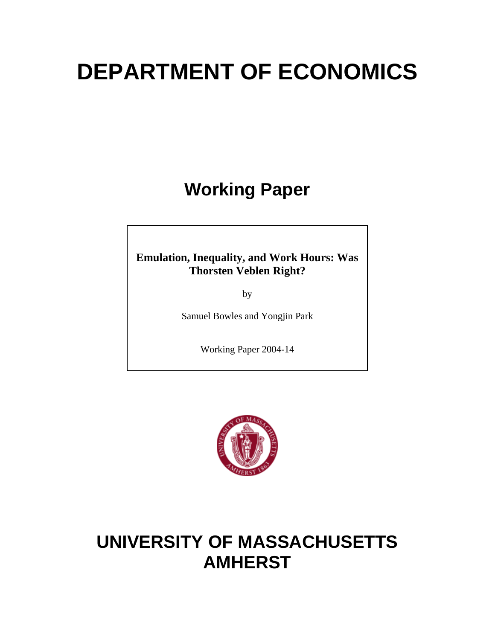# **DEPARTMENT OF ECONOMICS**

# **Working Paper**

### **Emulation, Inequality, and Work Hours: Was Thorsten Veblen Right?**

by

Samuel Bowles and Yongjin Park

Working Paper 2004-14



## **UNIVERSITY OF MASSACHUSETTS AMHERST**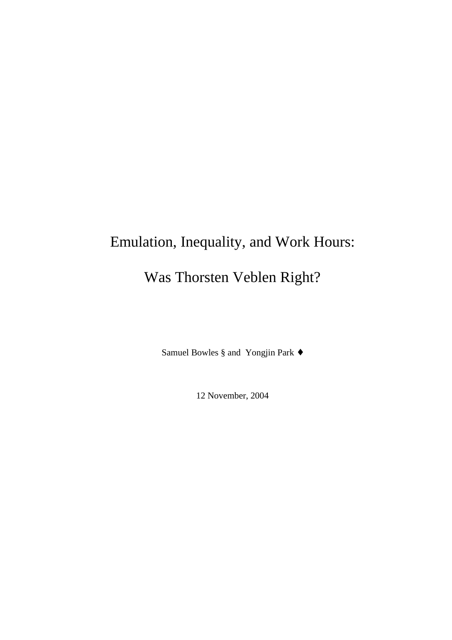# Emulation, Inequality, and Work Hours: Was Thorsten Veblen Right?

Samuel Bowles § and Yongjin Park ♦

12 November, 2004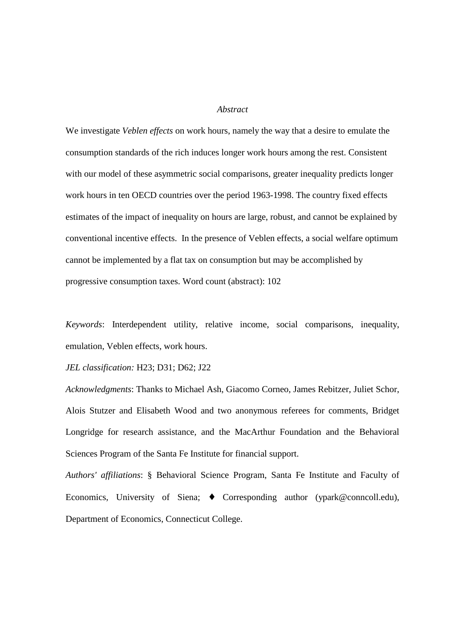#### *Abstract*

We investigate *Veblen effects* on work hours, namely the way that a desire to emulate the consumption standards of the rich induces longer work hours among the rest. Consistent with our model of these asymmetric social comparisons, greater inequality predicts longer work hours in ten OECD countries over the period 1963-1998. The country fixed effects estimates of the impact of inequality on hours are large, robust, and cannot be explained by conventional incentive effects. In the presence of Veblen effects, a social welfare optimum cannot be implemented by a flat tax on consumption but may be accomplished by progressive consumption taxes. Word count (abstract): 102

*Keywords*: Interdependent utility, relative income, social comparisons, inequality, emulation, Veblen effects, work hours.

*JEL classification:* H23; D31; D62; J22

*Acknowledgments*: Thanks to Michael Ash, Giacomo Corneo, James Rebitzer, Juliet Schor, Alois Stutzer and Elisabeth Wood and two anonymous referees for comments, Bridget Longridge for research assistance, and the MacArthur Foundation and the Behavioral Sciences Program of the Santa Fe Institute for financial support.

*Authors' affiliations*: § Behavioral Science Program, Santa Fe Institute and Faculty of Economics, University of Siena; ♦ Corresponding author (ypark@conncoll.edu), Department of Economics, Connecticut College.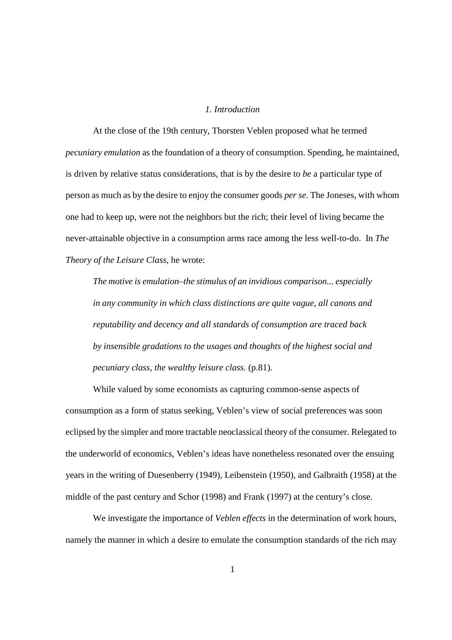#### *1. Introduction*

At the close of the 19th century, Thorsten Veblen proposed what he termed *pecuniary emulation* as the foundation of a theory of consumption. Spending, he maintained, is driven by relative status considerations, that is by the desire to *be* a particular type of person as much as by the desire to enjoy the consumer goods *per se*. The Joneses, with whom one had to keep up, were not the neighbors but the rich; their level of living became the never-attainable objective in a consumption arms race among the less well-to-do. In *The Theory of the Leisure Class*, he wrote:

*The motive is emulation–the stimulus of an invidious comparison... especially in any community in which class distinctions are quite vague, all canons and reputability and decency and all standards of consumption are traced back by insensible gradations to the usages and thoughts of the highest social and pecuniary class, the wealthy leisure class.* (p.81).

While valued by some economists as capturing common-sense aspects of consumption as a form of status seeking, Veblen's view of social preferences was soon eclipsed by the simpler and more tractable neoclassical theory of the consumer. Relegated to the underworld of economics, Veblen's ideas have nonetheless resonated over the ensuing years in the writing of Duesenberry (1949), Leibenstein (1950), and Galbraith (1958) at the middle of the past century and Schor (1998) and Frank (1997) at the century's close.

We investigate the importance of *Veblen effects* in the determination of work hours, namely the manner in which a desire to emulate the consumption standards of the rich may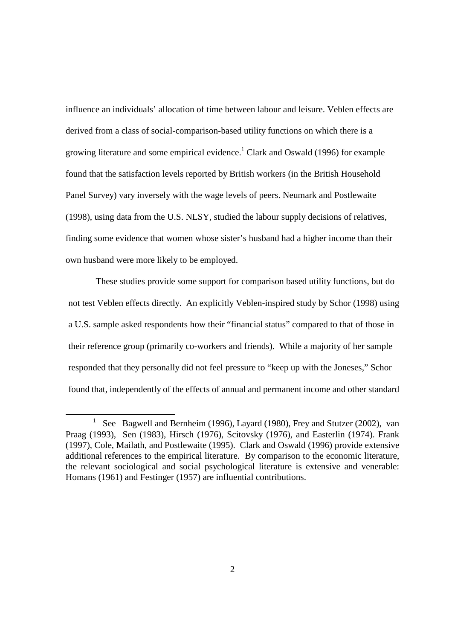influence an individuals' allocation of time between labour and leisure. Veblen effects are derived from a class of social-comparison-based utility functions on which there is a growing literature and some empirical evidence.<sup>1</sup> Clark and Oswald (1996) for example found that the satisfaction levels reported by British workers (in the British Household Panel Survey) vary inversely with the wage levels of peers. Neumark and Postlewaite (1998), using data from the U.S. NLSY, studied the labour supply decisions of relatives, finding some evidence that women whose sister's husband had a higher income than their own husband were more likely to be employed.

These studies provide some support for comparison based utility functions, but do not test Veblen effects directly. An explicitly Veblen-inspired study by Schor (1998) using a U.S. sample asked respondents how their "financial status" compared to that of those in their reference group (primarily co-workers and friends). While a majority of her sample responded that they personally did not feel pressure to "keep up with the Joneses," Schor found that, independently of the effects of annual and permanent income and other standard

l

<sup>1</sup> See Bagwell and Bernheim (1996), Layard (1980), Frey and Stutzer (2002), van Praag (1993), Sen (1983), Hirsch (1976), Scitovsky (1976), and Easterlin (1974). Frank (1997), Cole, Mailath, and Postlewaite (1995). Clark and Oswald (1996) provide extensive additional references to the empirical literature. By comparison to the economic literature, the relevant sociological and social psychological literature is extensive and venerable: Homans (1961) and Festinger (1957) are influential contributions.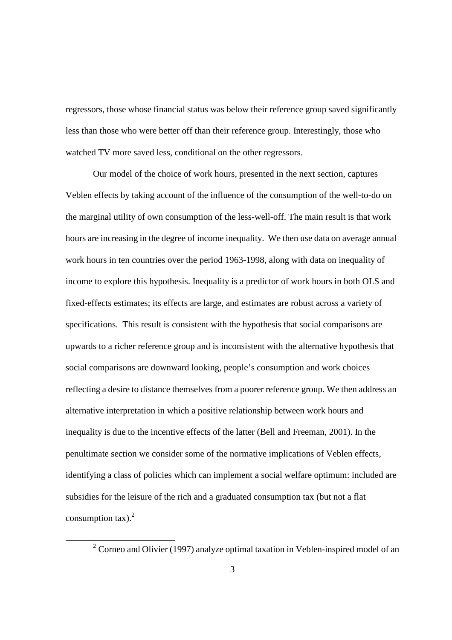regressors, those whose financial status was below their reference group saved significantly less than those who were better off than their reference group. Interestingly, those who watched TV more saved less, conditional on the other regressors.

Our model of the choice of work hours, presented in the next section, captures Veblen effects by taking account of the influence of the consumption of the well-to-do on the marginal utility of own consumption of the less-well-off. The main result is that work hours are increasing in the degree of income inequality. We then use data on average annual work hours in ten countries over the period 1963-1998, along with data on inequality of income to explore this hypothesis. Inequality is a predictor of work hours in both OLS and fixed-effects estimates; its effects are large, and estimates are robust across a variety of specifications. This result is consistent with the hypothesis that social comparisons are upwards to a richer reference group and is inconsistent with the alternative hypothesis that social comparisons are downward looking, people's consumption and work choices reflecting a desire to distance themselves from a poorer reference group. We then address an alternative interpretation in which a positive relationship between work hours and inequality is due to the incentive effects of the latter (Bell and Freeman, 2001). In the penultimate section we consider some of the normative implications of Veblen effects, identifying a class of policies which can implement a social welfare optimum: included are subsidies for the leisure of the rich and a graduated consumption tax (but not a flat consumption tax). $2$ 

l

<sup>&</sup>lt;sup>2</sup> Corneo and Olivier (1997) analyze optimal taxation in Veblen-inspired model of an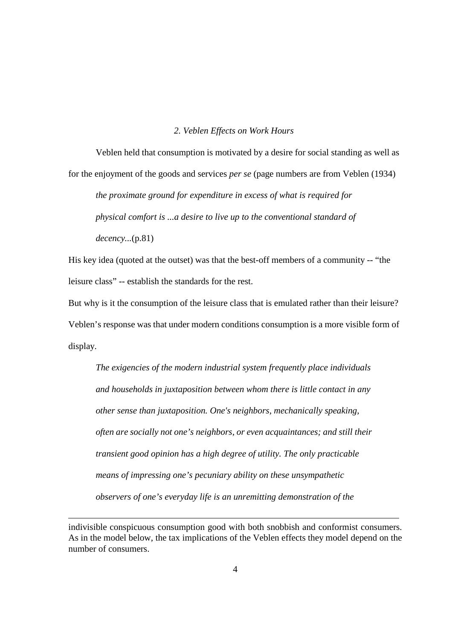#### *2. Veblen Effects on Work Hours*

Veblen held that consumption is motivated by a desire for social standing as well as for the enjoyment of the goods and services *per se* (page numbers are from Veblen (1934)

*the proximate ground for expenditure in excess of what is required for physical comfort is ...a desire to live up to the conventional standard of decency...*(p.81)

His key idea (quoted at the outset) was that the best-off members of a community -- "the leisure class" -- establish the standards for the rest.

But why is it the consumption of the leisure class that is emulated rather than their leisure? Veblen's response was that under modern conditions consumption is a more visible form of display.

*The exigencies of the modern industrial system frequently place individuals and households in juxtaposition between whom there is little contact in any other sense than juxtaposition. One's neighbors, mechanically speaking, often are socially not one's neighbors, or even acquaintances; and still their transient good opinion has a high degree of utility. The only practicable means of impressing one's pecuniary ability on these unsympathetic observers of one's everyday life is an unremitting demonstration of the* 

 $\overline{a}$ 

indivisible conspicuous consumption good with both snobbish and conformist consumers. As in the model below, the tax implications of the Veblen effects they model depend on the number of consumers.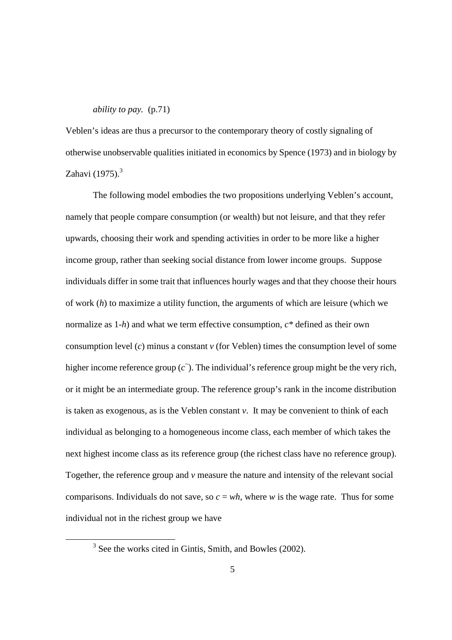#### *ability to pay.* (p.71)

Veblen's ideas are thus a precursor to the contemporary theory of costly signaling of otherwise unobservable qualities initiated in economics by Spence (1973) and in biology by Zahavi  $(1975).$ <sup>3</sup>

The following model embodies the two propositions underlying Veblen's account, namely that people compare consumption (or wealth) but not leisure, and that they refer upwards, choosing their work and spending activities in order to be more like a higher income group, rather than seeking social distance from lower income groups. Suppose individuals differ in some trait that influences hourly wages and that they choose their hours of work (*h*) to maximize a utility function, the arguments of which are leisure (which we normalize as 1-*h*) and what we term effective consumption, *c\** defined as their own consumption level (*c*) minus a constant *v* (for Veblen) times the consumption level of some higher income reference group  $(c<sup>z</sup>)$ . The individual's reference group might be the very rich, or it might be an intermediate group. The reference group's rank in the income distribution is taken as exogenous, as is the Veblen constant *v*. It may be convenient to think of each individual as belonging to a homogeneous income class, each member of which takes the next highest income class as its reference group (the richest class have no reference group). Together, the reference group and *v* measure the nature and intensity of the relevant social comparisons. Individuals do not save, so  $c = wh$ , where *w* is the wage rate. Thus for some individual not in the richest group we have

l

<sup>&</sup>lt;sup>3</sup> See the works cited in Gintis, Smith, and Bowles (2002).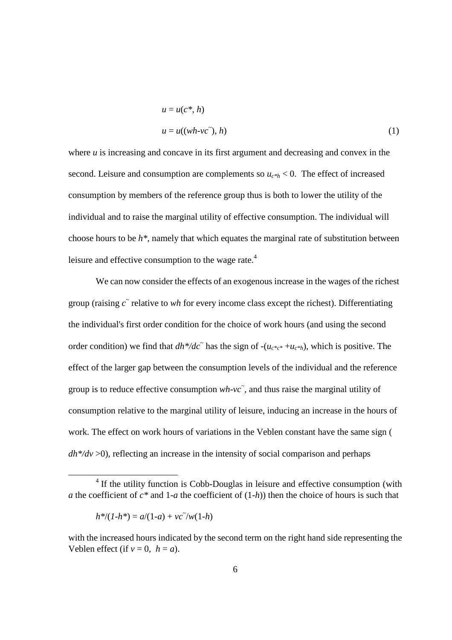$$
u = u(c^*, h)
$$
  

$$
u = u((wh \text{-}vc\tilde{\ }), h)
$$
 (1)

where *u* is increasing and concave in its first argument and decreasing and convex in the second. Leisure and consumption are complements so  $u_{c*h}$  < 0. The effect of increased consumption by members of the reference group thus is both to lower the utility of the individual and to raise the marginal utility of effective consumption. The individual will choose hours to be *h\**, namely that which equates the marginal rate of substitution between leisure and effective consumption to the wage rate.<sup>4</sup>

We can now consider the effects of an exogenous increase in the wages of the richest group (raising  $\tilde{c}$  relative to *wh* for every income class except the richest). Differentiating the individual's first order condition for the choice of work hours (and using the second order condition) we find that  $dh^*/dc^*$  has the sign of  $-(u_{c^*c^*} + u_{c^*h})$ , which is positive. The effect of the larger gap between the consumption levels of the individual and the reference group is to reduce effective consumption  $wh$ - $vc$ <sup> $\tilde{}$ </sup>, and thus raise the marginal utility of consumption relative to the marginal utility of leisure, inducing an increase in the hours of work. The effect on work hours of variations in the Veblen constant have the same sign (  $dh^*/dv > 0$ , reflecting an increase in the intensity of social comparison and perhaps

$$
h^*/(1-h^*) = a/(1-a) + \nu c^* / w(1-h)
$$

 $\overline{a}$ 

<sup>&</sup>lt;sup>4</sup> If the utility function is Cobb-Douglas in leisure and effective consumption (with *a* the coefficient of *c\** and 1-*a* the coefficient of (1-*h*)) then the choice of hours is such that

with the increased hours indicated by the second term on the right hand side representing the Veblen effect (if  $v = 0$ ,  $h = a$ ).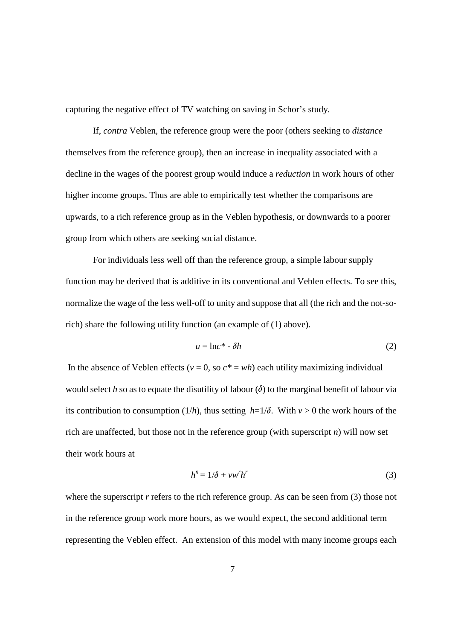capturing the negative effect of TV watching on saving in Schor's study.

If, *contra* Veblen, the reference group were the poor (others seeking to *distance*  themselves from the reference group), then an increase in inequality associated with a decline in the wages of the poorest group would induce a *reduction* in work hours of other higher income groups. Thus are able to empirically test whether the comparisons are upwards, to a rich reference group as in the Veblen hypothesis, or downwards to a poorer group from which others are seeking social distance.

For individuals less well off than the reference group, a simple labour supply function may be derived that is additive in its conventional and Veblen effects. To see this, normalize the wage of the less well-off to unity and suppose that all (the rich and the not-sorich) share the following utility function (an example of (1) above).

$$
u = \ln c^* - \delta h \tag{2}
$$

In the absence of Veblen effects ( $v = 0$ , so  $c^* = wh$ ) each utility maximizing individual would select  $h$  so as to equate the disutility of labour  $(\delta)$  to the marginal benefit of labour via its contribution to consumption (1/h), thus setting  $h=1/\delta$ . With  $v>0$  the work hours of the rich are unaffected, but those not in the reference group (with superscript *n*) will now set their work hours at

$$
h^n = 1/\delta + v w^r h^r \tag{3}
$$

where the superscript *r* refers to the rich reference group. As can be seen from (3) those not in the reference group work more hours, as we would expect, the second additional term representing the Veblen effect. An extension of this model with many income groups each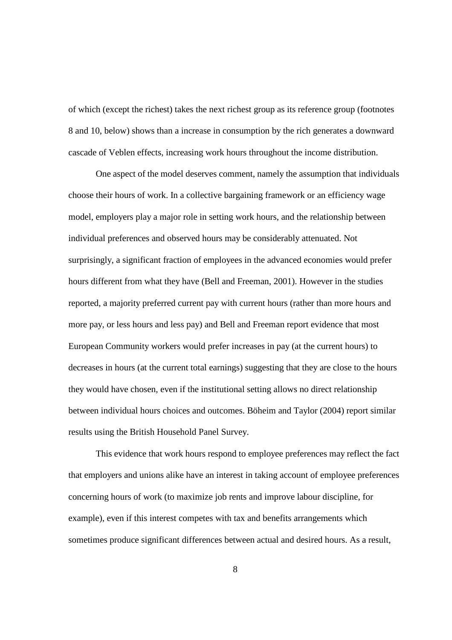of which (except the richest) takes the next richest group as its reference group (footnotes 8 and 10, below) shows than a increase in consumption by the rich generates a downward cascade of Veblen effects, increasing work hours throughout the income distribution.

One aspect of the model deserves comment, namely the assumption that individuals choose their hours of work. In a collective bargaining framework or an efficiency wage model, employers play a major role in setting work hours, and the relationship between individual preferences and observed hours may be considerably attenuated. Not surprisingly, a significant fraction of employees in the advanced economies would prefer hours different from what they have (Bell and Freeman, 2001). However in the studies reported, a majority preferred current pay with current hours (rather than more hours and more pay, or less hours and less pay) and Bell and Freeman report evidence that most European Community workers would prefer increases in pay (at the current hours) to decreases in hours (at the current total earnings) suggesting that they are close to the hours they would have chosen, even if the institutional setting allows no direct relationship between individual hours choices and outcomes. Böheim and Taylor (2004) report similar results using the British Household Panel Survey.

This evidence that work hours respond to employee preferences may reflect the fact that employers and unions alike have an interest in taking account of employee preferences concerning hours of work (to maximize job rents and improve labour discipline, for example), even if this interest competes with tax and benefits arrangements which sometimes produce significant differences between actual and desired hours. As a result,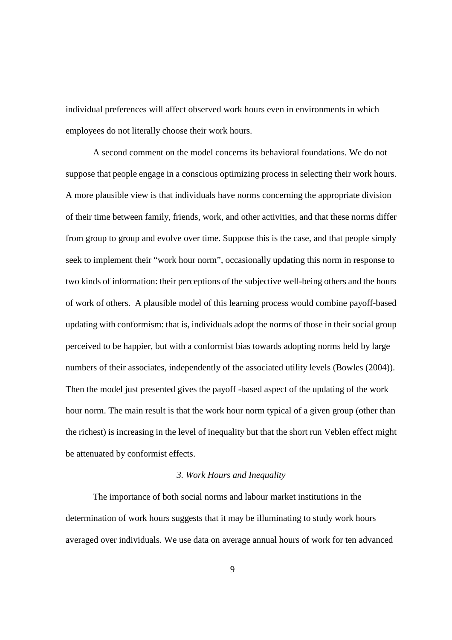individual preferences will affect observed work hours even in environments in which employees do not literally choose their work hours.

A second comment on the model concerns its behavioral foundations. We do not suppose that people engage in a conscious optimizing process in selecting their work hours. A more plausible view is that individuals have norms concerning the appropriate division of their time between family, friends, work, and other activities, and that these norms differ from group to group and evolve over time. Suppose this is the case, and that people simply seek to implement their "work hour norm", occasionally updating this norm in response to two kinds of information: their perceptions of the subjective well-being others and the hours of work of others. A plausible model of this learning process would combine payoff-based updating with conformism: that is, individuals adopt the norms of those in their social group perceived to be happier, but with a conformist bias towards adopting norms held by large numbers of their associates, independently of the associated utility levels (Bowles (2004)). Then the model just presented gives the payoff -based aspect of the updating of the work hour norm. The main result is that the work hour norm typical of a given group (other than the richest) is increasing in the level of inequality but that the short run Veblen effect might be attenuated by conformist effects.

#### *3. Work Hours and Inequality*

The importance of both social norms and labour market institutions in the determination of work hours suggests that it may be illuminating to study work hours averaged over individuals. We use data on average annual hours of work for ten advanced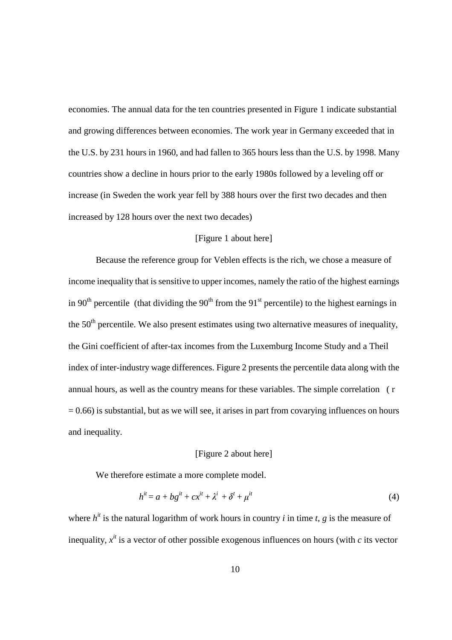economies. The annual data for the ten countries presented in Figure 1 indicate substantial and growing differences between economies. The work year in Germany exceeded that in the U.S. by 231 hours in 1960, and had fallen to 365 hours less than the U.S. by 1998. Many countries show a decline in hours prior to the early 1980s followed by a leveling off or increase (in Sweden the work year fell by 388 hours over the first two decades and then increased by 128 hours over the next two decades)

#### [Figure 1 about here]

Because the reference group for Veblen effects is the rich, we chose a measure of income inequality that is sensitive to upper incomes, namely the ratio of the highest earnings in 90<sup>th</sup> percentile (that dividing the 90<sup>th</sup> from the 91<sup>st</sup> percentile) to the highest earnings in the  $50<sup>th</sup>$  percentile. We also present estimates using two alternative measures of inequality, the Gini coefficient of after-tax incomes from the Luxemburg Income Study and a Theil index of inter-industry wage differences. Figure 2 presents the percentile data along with the annual hours, as well as the country means for these variables. The simple correlation ( r  $= 0.66$ ) is substantial, but as we will see, it arises in part from covarying influences on hours and inequality.

#### [Figure 2 about here]

We therefore estimate a more complete model.

$$
h^{it} = a + bg^{it} + cx^{it} + \lambda^i + \delta^i + \mu^{it}
$$
\n<sup>(4)</sup>

where  $h^{it}$  is the natural logarithm of work hours in country *i* in time *t*, *g* is the measure of inequality,  $x^{it}$  is a vector of other possible exogenous influences on hours (with  $c$  its vector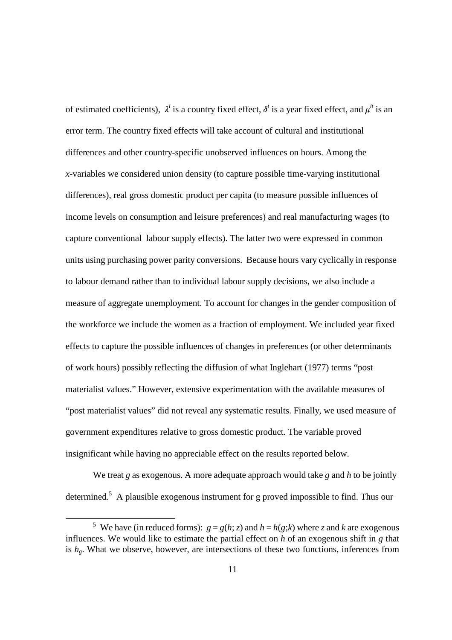of estimated coefficients),  $\lambda^i$  is a country fixed effect,  $\delta^t$  is a year fixed effect, and  $\mu^{it}$  is an error term. The country fixed effects will take account of cultural and institutional differences and other country-specific unobserved influences on hours. Among the *x*-variables we considered union density (to capture possible time-varying institutional differences), real gross domestic product per capita (to measure possible influences of income levels on consumption and leisure preferences) and real manufacturing wages (to capture conventional labour supply effects). The latter two were expressed in common units using purchasing power parity conversions. Because hours vary cyclically in response to labour demand rather than to individual labour supply decisions, we also include a measure of aggregate unemployment. To account for changes in the gender composition of the workforce we include the women as a fraction of employment. We included year fixed effects to capture the possible influences of changes in preferences (or other determinants of work hours) possibly reflecting the diffusion of what Inglehart (1977) terms "post materialist values." However, extensive experimentation with the available measures of "post materialist values" did not reveal any systematic results. Finally, we used measure of government expenditures relative to gross domestic product. The variable proved insignificant while having no appreciable effect on the results reported below.

We treat *g* as exogenous. A more adequate approach would take *g* and *h* to be jointly determined.<sup>5</sup> A plausible exogenous instrument for g proved impossible to find. Thus our

-

<sup>&</sup>lt;sup>5</sup> We have (in reduced forms):  $g = g(h; z)$  and  $h = h(g; k)$  where *z* and *k* are exogenous influences. We would like to estimate the partial effect on *h* of an exogenous shift in *g* that is  $h<sub>o</sub>$ . What we observe, however, are intersections of these two functions, inferences from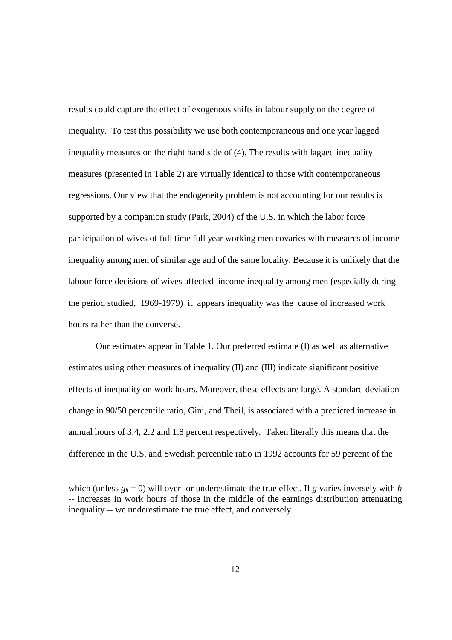results could capture the effect of exogenous shifts in labour supply on the degree of inequality. To test this possibility we use both contemporaneous and one year lagged inequality measures on the right hand side of (4). The results with lagged inequality measures (presented in Table 2) are virtually identical to those with contemporaneous regressions. Our view that the endogeneity problem is not accounting for our results is supported by a companion study (Park, 2004) of the U.S. in which the labor force participation of wives of full time full year working men covaries with measures of income inequality among men of similar age and of the same locality. Because it is unlikely that the labour force decisions of wives affected income inequality among men (especially during the period studied, 1969-1979) it appears inequality was the cause of increased work hours rather than the converse.

Our estimates appear in Table 1. Our preferred estimate (I) as well as alternative estimates using other measures of inequality (II) and (III) indicate significant positive effects of inequality on work hours. Moreover, these effects are large. A standard deviation change in 90/50 percentile ratio, Gini, and Theil, is associated with a predicted increase in annual hours of 3.4, 2.2 and 1.8 percent respectively. Taken literally this means that the difference in the U.S. and Swedish percentile ratio in 1992 accounts for 59 percent of the

 $\overline{a}$ 

which (unless  $g_h = 0$ ) will over- or underestimate the true effect. If g varies inversely with *h* -- increases in work hours of those in the middle of the earnings distribution attenuating inequality -- we underestimate the true effect, and conversely.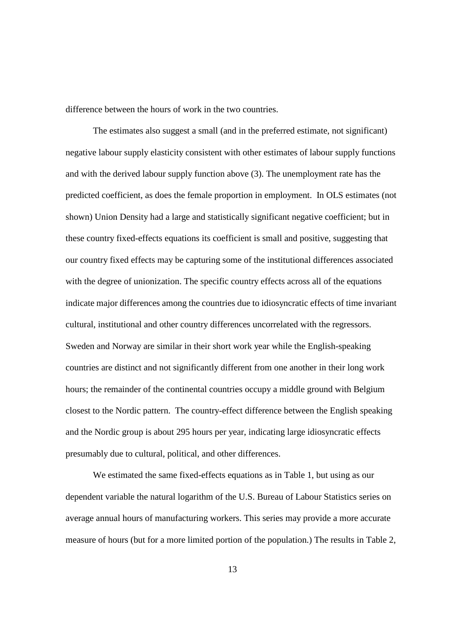difference between the hours of work in the two countries.

The estimates also suggest a small (and in the preferred estimate, not significant) negative labour supply elasticity consistent with other estimates of labour supply functions and with the derived labour supply function above (3). The unemployment rate has the predicted coefficient, as does the female proportion in employment. In OLS estimates (not shown) Union Density had a large and statistically significant negative coefficient; but in these country fixed-effects equations its coefficient is small and positive, suggesting that our country fixed effects may be capturing some of the institutional differences associated with the degree of unionization. The specific country effects across all of the equations indicate major differences among the countries due to idiosyncratic effects of time invariant cultural, institutional and other country differences uncorrelated with the regressors. Sweden and Norway are similar in their short work year while the English-speaking countries are distinct and not significantly different from one another in their long work hours; the remainder of the continental countries occupy a middle ground with Belgium closest to the Nordic pattern. The country-effect difference between the English speaking and the Nordic group is about 295 hours per year, indicating large idiosyncratic effects presumably due to cultural, political, and other differences.

We estimated the same fixed-effects equations as in Table 1, but using as our dependent variable the natural logarithm of the U.S. Bureau of Labour Statistics series on average annual hours of manufacturing workers. This series may provide a more accurate measure of hours (but for a more limited portion of the population.) The results in Table 2,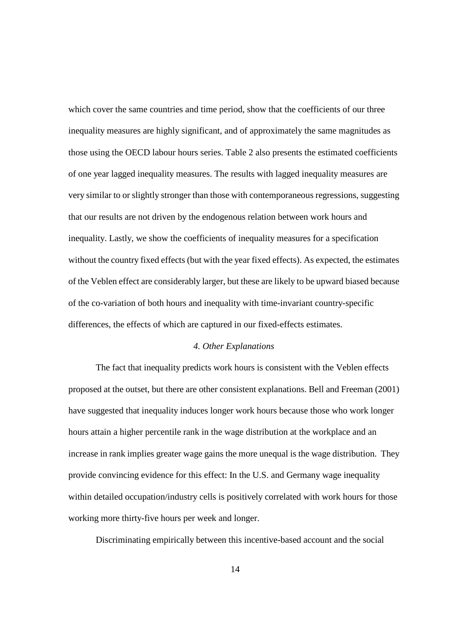which cover the same countries and time period, show that the coefficients of our three inequality measures are highly significant, and of approximately the same magnitudes as those using the OECD labour hours series. Table 2 also presents the estimated coefficients of one year lagged inequality measures. The results with lagged inequality measures are very similar to or slightly stronger than those with contemporaneous regressions, suggesting that our results are not driven by the endogenous relation between work hours and inequality. Lastly, we show the coefficients of inequality measures for a specification without the country fixed effects (but with the year fixed effects). As expected, the estimates of the Veblen effect are considerably larger, but these are likely to be upward biased because of the co-variation of both hours and inequality with time-invariant country-specific differences, the effects of which are captured in our fixed-effects estimates.

#### *4. Other Explanations*

The fact that inequality predicts work hours is consistent with the Veblen effects proposed at the outset, but there are other consistent explanations. Bell and Freeman (2001) have suggested that inequality induces longer work hours because those who work longer hours attain a higher percentile rank in the wage distribution at the workplace and an increase in rank implies greater wage gains the more unequal is the wage distribution. They provide convincing evidence for this effect: In the U.S. and Germany wage inequality within detailed occupation/industry cells is positively correlated with work hours for those working more thirty-five hours per week and longer.

Discriminating empirically between this incentive-based account and the social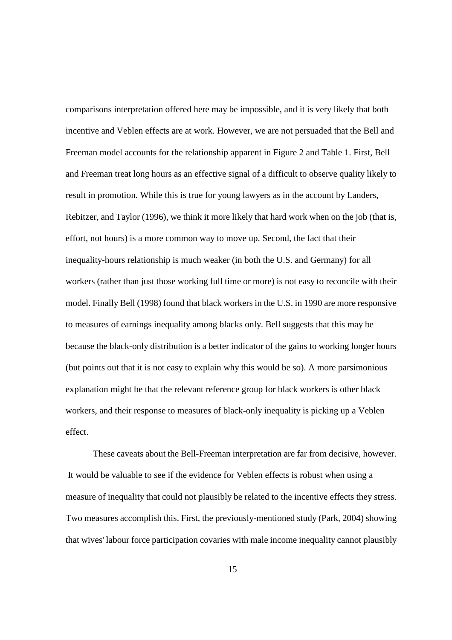comparisons interpretation offered here may be impossible, and it is very likely that both incentive and Veblen effects are at work. However, we are not persuaded that the Bell and Freeman model accounts for the relationship apparent in Figure 2 and Table 1. First, Bell and Freeman treat long hours as an effective signal of a difficult to observe quality likely to result in promotion. While this is true for young lawyers as in the account by Landers, Rebitzer, and Taylor (1996), we think it more likely that hard work when on the job (that is, effort, not hours) is a more common way to move up. Second, the fact that their inequality-hours relationship is much weaker (in both the U.S. and Germany) for all workers (rather than just those working full time or more) is not easy to reconcile with their model. Finally Bell (1998) found that black workers in the U.S. in 1990 are more responsive to measures of earnings inequality among blacks only. Bell suggests that this may be because the black-only distribution is a better indicator of the gains to working longer hours (but points out that it is not easy to explain why this would be so). A more parsimonious explanation might be that the relevant reference group for black workers is other black workers, and their response to measures of black-only inequality is picking up a Veblen effect.

These caveats about the Bell-Freeman interpretation are far from decisive, however. It would be valuable to see if the evidence for Veblen effects is robust when using a measure of inequality that could not plausibly be related to the incentive effects they stress. Two measures accomplish this. First, the previously-mentioned study (Park, 2004) showing that wives' labour force participation covaries with male income inequality cannot plausibly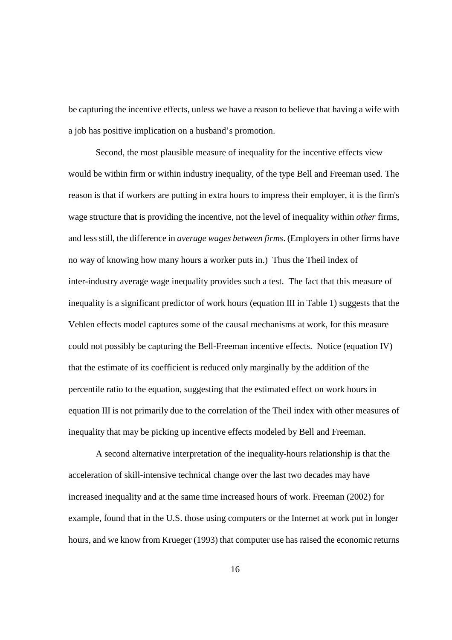be capturing the incentive effects, unless we have a reason to believe that having a wife with a job has positive implication on a husband's promotion.

Second, the most plausible measure of inequality for the incentive effects view would be within firm or within industry inequality, of the type Bell and Freeman used. The reason is that if workers are putting in extra hours to impress their employer, it is the firm's wage structure that is providing the incentive, not the level of inequality within *other* firms, and less still, the difference in *average wages between firms*. (Employers in other firms have no way of knowing how many hours a worker puts in.) Thus the Theil index of inter-industry average wage inequality provides such a test. The fact that this measure of inequality is a significant predictor of work hours (equation III in Table 1) suggests that the Veblen effects model captures some of the causal mechanisms at work, for this measure could not possibly be capturing the Bell-Freeman incentive effects. Notice (equation IV) that the estimate of its coefficient is reduced only marginally by the addition of the percentile ratio to the equation, suggesting that the estimated effect on work hours in equation III is not primarily due to the correlation of the Theil index with other measures of inequality that may be picking up incentive effects modeled by Bell and Freeman.

A second alternative interpretation of the inequality-hours relationship is that the acceleration of skill-intensive technical change over the last two decades may have increased inequality and at the same time increased hours of work. Freeman (2002) for example, found that in the U.S. those using computers or the Internet at work put in longer hours, and we know from Krueger (1993) that computer use has raised the economic returns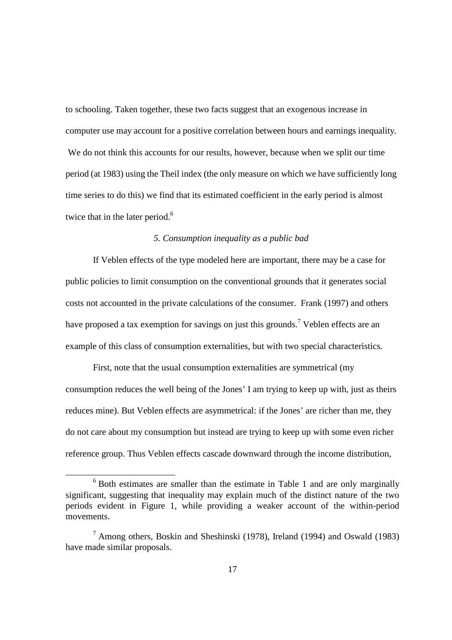to schooling. Taken together, these two facts suggest that an exogenous increase in computer use may account for a positive correlation between hours and earnings inequality. We do not think this accounts for our results, however, because when we split our time period (at 1983) using the Theil index (the only measure on which we have sufficiently long time series to do this) we find that its estimated coefficient in the early period is almost twice that in the later period.<sup>6</sup>

#### *5. Consumption inequality as a public bad*

If Veblen effects of the type modeled here are important, there may be a case for public policies to limit consumption on the conventional grounds that it generates social costs not accounted in the private calculations of the consumer. Frank (1997) and others have proposed a tax exemption for savings on just this grounds.<sup>7</sup> Veblen effects are an example of this class of consumption externalities, but with two special characteristics.

First, note that the usual consumption externalities are symmetrical (my consumption reduces the well being of the Jones' I am trying to keep up with, just as theirs reduces mine). But Veblen effects are asymmetrical: if the Jones' are richer than me, they do not care about my consumption but instead are trying to keep up with some even richer reference group. Thus Veblen effects cascade downward through the income distribution,

-

 $6$  Both estimates are smaller than the estimate in Table 1 and are only marginally significant, suggesting that inequality may explain much of the distinct nature of the two periods evident in Figure 1, while providing a weaker account of the within-period movements.

<sup>&</sup>lt;sup>7</sup> Among others, Boskin and Sheshinski (1978), Ireland (1994) and Oswald (1983) have made similar proposals.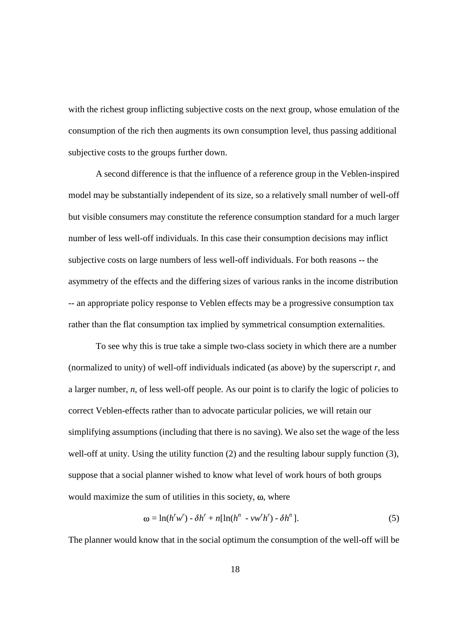with the richest group inflicting subjective costs on the next group, whose emulation of the consumption of the rich then augments its own consumption level, thus passing additional subjective costs to the groups further down.

A second difference is that the influence of a reference group in the Veblen-inspired model may be substantially independent of its size, so a relatively small number of well-off but visible consumers may constitute the reference consumption standard for a much larger number of less well-off individuals. In this case their consumption decisions may inflict subjective costs on large numbers of less well-off individuals. For both reasons -- the asymmetry of the effects and the differing sizes of various ranks in the income distribution -- an appropriate policy response to Veblen effects may be a progressive consumption tax rather than the flat consumption tax implied by symmetrical consumption externalities.

To see why this is true take a simple two-class society in which there are a number (normalized to unity) of well-off individuals indicated (as above) by the superscript *r*, and a larger number, *n*, of less well-off people. As our point is to clarify the logic of policies to correct Veblen-effects rather than to advocate particular policies, we will retain our simplifying assumptions (including that there is no saving). We also set the wage of the less well-off at unity. Using the utility function (2) and the resulting labour supply function (3), suppose that a social planner wished to know what level of work hours of both groups would maximize the sum of utilities in this society,  $\omega$ , where

$$
\omega = \ln(h^r w^r) - \delta h^r + n[\ln(h^n - v w^r h^r) - \delta h^n].
$$
\n(5)

The planner would know that in the social optimum the consumption of the well-off will be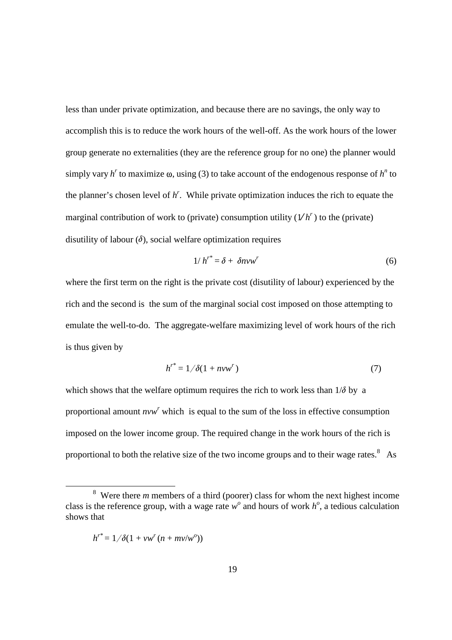less than under private optimization, and because there are no savings, the only way to accomplish this is to reduce the work hours of the well-off. As the work hours of the lower group generate no externalities (they are the reference group for no one) the planner would simply vary  $h^r$  to maximize  $\omega$ , using (3) to take account of the endogenous response of  $h^n$  to the planner's chosen level of *h r* . While private optimization induces the rich to equate the marginal contribution of work to (private) consumption utility  $(Vh<sup>r</sup>)$  to the (private) disutility of labour  $(\delta)$ , social welfare optimization requires

$$
1/h^{r^*} = \delta + \delta n v w^r \tag{6}
$$

where the first term on the right is the private cost (disutility of labour) experienced by the rich and the second is the sum of the marginal social cost imposed on those attempting to emulate the well-to-do. The aggregate-welfare maximizing level of work hours of the rich is thus given by

$$
h^{r^*} = 1/\delta(1 + nvw^r) \tag{7}
$$

which shows that the welfare optimum requires the rich to work less than  $1/\delta$  by a proportional amount *nvw*<sup>*r*</sup> which is equal to the sum of the loss in effective consumption imposed on the lower income group. The required change in the work hours of the rich is proportional to both the relative size of the two income groups and to their wage rates.<sup>8</sup> As

$$
h^{r^*} = 1/\delta(1 + vw^r (n + mv/w^o))
$$

-

 $8$  Were there *m* members of a third (poorer) class for whom the next highest income class is the reference group, with a wage rate  $w^{\circ}$  and hours of work  $h^{\circ}$ , a tedious calculation shows that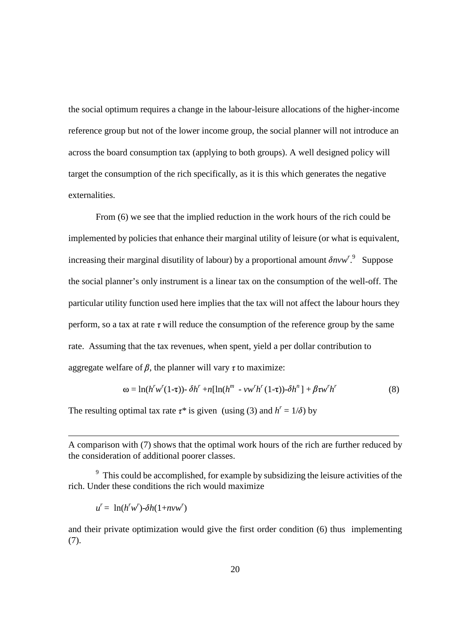the social optimum requires a change in the labour-leisure allocations of the higher-income reference group but not of the lower income group, the social planner will not introduce an across the board consumption tax (applying to both groups). A well designed policy will target the consumption of the rich specifically, as it is this which generates the negative externalities.

From (6) we see that the implied reduction in the work hours of the rich could be implemented by policies that enhance their marginal utility of leisure (or what is equivalent, increasing their marginal disutility of labour) by a proportional amount  $\delta n v w^{r}$ . Suppose the social planner's only instrument is a linear tax on the consumption of the well-off. The particular utility function used here implies that the tax will not affect the labour hours they perform, so a tax at rate  $\tau$  will reduce the consumption of the reference group by the same rate. Assuming that the tax revenues, when spent, yield a per dollar contribution to aggregate welfare of  $\beta$ , the planner will vary  $\tau$  to maximize:

$$
\omega = \ln(h^r w^r (1-\tau)) - \delta h^r + n[\ln(h^m - v w^r h^r (1-\tau)) - \delta h^n] + \beta \tau w^r h^r \tag{8}
$$

The resulting optimal tax rate  $\tau^*$  is given (using (3) and  $h^r = 1/\delta$ ) by

A comparison with (7) shows that the optimal work hours of the rich are further reduced by the consideration of additional poorer classes.

 $9<sup>9</sup>$  This could be accomplished, for example by subsidizing the leisure activities of the rich. Under these conditions the rich would maximize

 $u^r = \ln(h^r w^r) - \delta h(1 + n v w^r)$ 

 $\overline{a}$ 

and their private optimization would give the first order condition (6) thus implementing (7).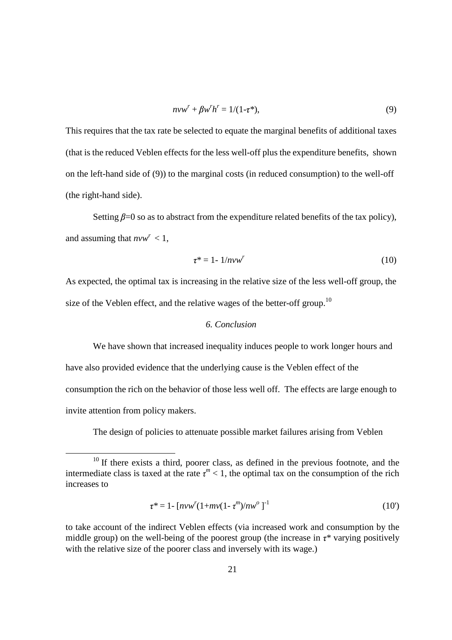$$
nvw^{r} + \beta w^{r}h^{r} = 1/(1-\tau^{*}),
$$
\n(9)

This requires that the tax rate be selected to equate the marginal benefits of additional taxes (that is the reduced Veblen effects for the less well-off plus the expenditure benefits, shown on the left-hand side of (9)) to the marginal costs (in reduced consumption) to the well-off (the right-hand side).

Setting  $\beta = 0$  so as to abstract from the expenditure related benefits of the tax policy), and assuming that  $nvw^r < 1$ ,

$$
\tau^* = 1 - 1/nvw^r \tag{10}
$$

As expected, the optimal tax is increasing in the relative size of the less well-off group, the size of the Veblen effect, and the relative wages of the better-off group.<sup>10</sup>

#### *6. Conclusion*

We have shown that increased inequality induces people to work longer hours and have also provided evidence that the underlying cause is the Veblen effect of the consumption the rich on the behavior of those less well off. The effects are large enough to invite attention from policy makers.

The design of policies to attenuate possible market failures arising from Veblen

l

$$
\tau^* = 1 - [n\nu w^r (1 + mv(1 - \tau^m)/nw^o)]^{-1}
$$
\n(10')

 $10$  If there exists a third, poorer class, as defined in the previous footnote, and the intermediate class is taxed at the rate  $\tau^m$  < 1, the optimal tax on the consumption of the rich increases to

to take account of the indirect Veblen effects (via increased work and consumption by the middle group) on the well-being of the poorest group (the increase in  $\tau^*$  varying positively with the relative size of the poorer class and inversely with its wage.)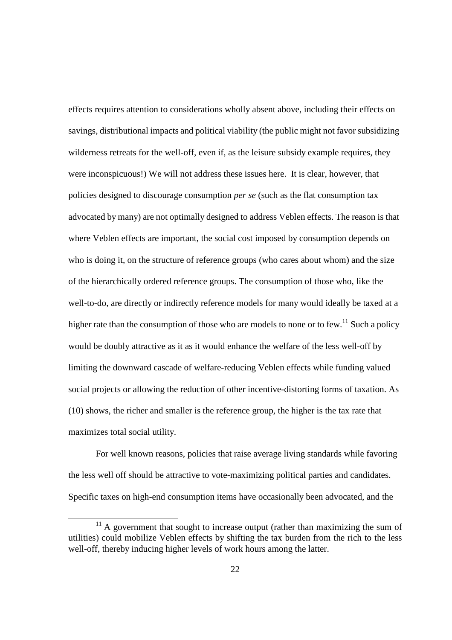effects requires attention to considerations wholly absent above, including their effects on savings, distributional impacts and political viability (the public might not favor subsidizing wilderness retreats for the well-off, even if, as the leisure subsidy example requires, they were inconspicuous!) We will not address these issues here. It is clear, however, that policies designed to discourage consumption *per se* (such as the flat consumption tax advocated by many) are not optimally designed to address Veblen effects. The reason is that where Veblen effects are important, the social cost imposed by consumption depends on who is doing it, on the structure of reference groups (who cares about whom) and the size of the hierarchically ordered reference groups. The consumption of those who, like the well-to-do, are directly or indirectly reference models for many would ideally be taxed at a higher rate than the consumption of those who are models to none or to few.<sup>11</sup> Such a policy would be doubly attractive as it as it would enhance the welfare of the less well-off by limiting the downward cascade of welfare-reducing Veblen effects while funding valued social projects or allowing the reduction of other incentive-distorting forms of taxation. As (10) shows, the richer and smaller is the reference group, the higher is the tax rate that maximizes total social utility.

For well known reasons, policies that raise average living standards while favoring the less well off should be attractive to vote-maximizing political parties and candidates. Specific taxes on high-end consumption items have occasionally been advocated, and the

 $\overline{a}$ 

 $11$  A government that sought to increase output (rather than maximizing the sum of utilities) could mobilize Veblen effects by shifting the tax burden from the rich to the less well-off, thereby inducing higher levels of work hours among the latter.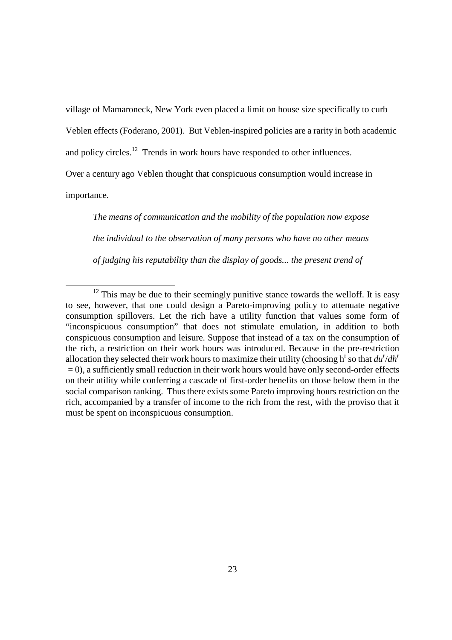village of Mamaroneck, New York even placed a limit on house size specifically to curb

Veblen effects (Foderano, 2001). But Veblen-inspired policies are a rarity in both academic

and policy circles.<sup>12</sup> Trends in work hours have responded to other influences.

Over a century ago Veblen thought that conspicuous consumption would increase in

importance.

-

*The means of communication and the mobility of the population now expose the individual to the observation of many persons who have no other means of judging his reputability than the display of goods... the present trend of* 

 $12$  This may be due to their seemingly punitive stance towards the welloff. It is easy to see, however, that one could design a Pareto-improving policy to attenuate negative consumption spillovers. Let the rich have a utility function that values some form of "inconspicuous consumption" that does not stimulate emulation, in addition to both conspicuous consumption and leisure. Suppose that instead of a tax on the consumption of the rich, a restriction on their work hours was introduced. Because in the pre-restriction allocation they selected their work hours to maximize their utility (choosing h<sup>r</sup> so that  $du^r/dh^r$  $= 0$ ), a sufficiently small reduction in their work hours would have only second-order effects on their utility while conferring a cascade of first-order benefits on those below them in the social comparison ranking. Thus there exists some Pareto improving hours restriction on the rich, accompanied by a transfer of income to the rich from the rest, with the proviso that it must be spent on inconspicuous consumption.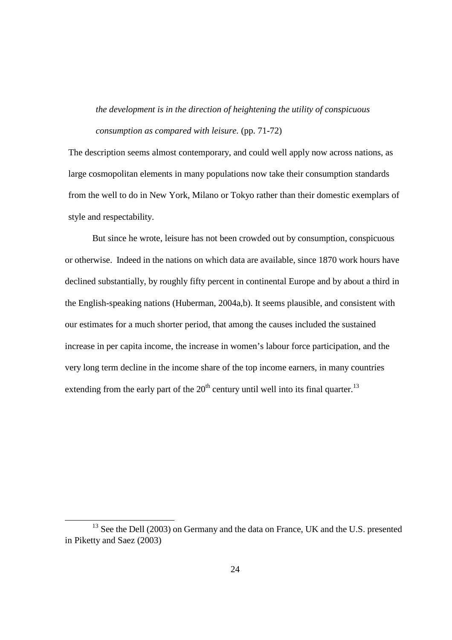*the development is in the direction of heightening the utility of conspicuous consumption as compared with leisure.* (pp. 71-72)

The description seems almost contemporary, and could well apply now across nations, as large cosmopolitan elements in many populations now take their consumption standards from the well to do in New York, Milano or Tokyo rather than their domestic exemplars of style and respectability.

But since he wrote, leisure has not been crowded out by consumption, conspicuous or otherwise. Indeed in the nations on which data are available, since 1870 work hours have declined substantially, by roughly fifty percent in continental Europe and by about a third in the English-speaking nations (Huberman, 2004a,b). It seems plausible, and consistent with our estimates for a much shorter period, that among the causes included the sustained increase in per capita income, the increase in women's labour force participation, and the very long term decline in the income share of the top income earners, in many countries extending from the early part of the  $20<sup>th</sup>$  century until well into its final quarter.<sup>13</sup>

 $\overline{a}$ 

<sup>&</sup>lt;sup>13</sup> See the Dell (2003) on Germany and the data on France, UK and the U.S. presented in Piketty and Saez (2003)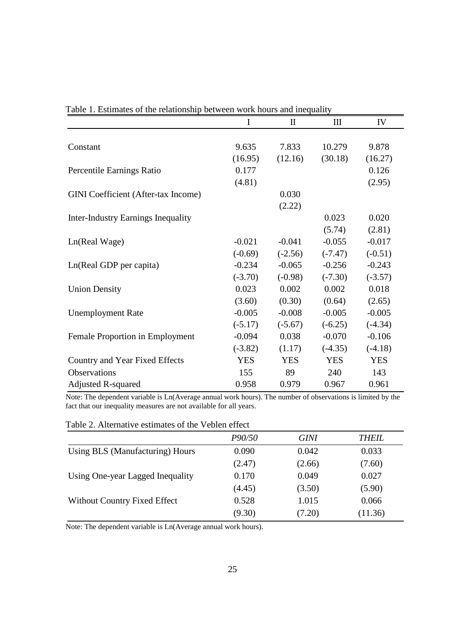|                                            | $\bf{I}$   | $\mathbf{I}$ | Ш          | IV         |
|--------------------------------------------|------------|--------------|------------|------------|
|                                            |            |              |            |            |
| Constant                                   | 9.635      | 7.833        | 10.279     | 9.878      |
|                                            | (16.95)    | (12.16)      | (30.18)    | (16.27)    |
| Percentile Earnings Ratio                  | 0.177      |              |            | 0.126      |
|                                            | (4.81)     |              |            | (2.95)     |
| <b>GINI</b> Coefficient (After-tax Income) |            | 0.030        |            |            |
|                                            |            | (2.22)       |            |            |
| <b>Inter-Industry Earnings Inequality</b>  |            |              | 0.023      | 0.020      |
|                                            |            |              | (5.74)     | (2.81)     |
| Ln(Real Wage)                              | $-0.021$   | $-0.041$     | $-0.055$   | $-0.017$   |
|                                            | $(-0.69)$  | $(-2.56)$    | $(-7.47)$  | $(-0.51)$  |
| Ln(Real GDP per capita)                    | $-0.234$   | $-0.065$     | $-0.256$   | $-0.243$   |
|                                            | $(-3.70)$  | $(-0.98)$    | $(-7.30)$  | $(-3.57)$  |
| <b>Union Density</b>                       | 0.023      | 0.002        | 0.002      | 0.018      |
|                                            | (3.60)     | (0.30)       | (0.64)     | (2.65)     |
| <b>Unemployment Rate</b>                   | $-0.005$   | $-0.008$     | $-0.005$   | $-0.005$   |
|                                            | $(-5.17)$  | $(-5.67)$    | $(-6.25)$  | $(-4.34)$  |
| Female Proportion in Employment            | $-0.094$   | 0.038        | $-0.070$   | $-0.106$   |
|                                            | $(-3.82)$  | (1.17)       | $(-4.35)$  | $(-4.18)$  |
| Country and Year Fixed Effects             | <b>YES</b> | <b>YES</b>   | <b>YES</b> | <b>YES</b> |
| Observations                               | 155        | 89           | 240        | 143        |
| <b>Adjusted R-squared</b>                  | 0.958      | 0.979        | 0.967      | 0.961      |

Table 1. Estimates of the relationship between work hours and inequality

Note: The dependent variable is Ln(Average annual work hours). The number of observations is limited by the fact that our inequality measures are not available for all years.

| Table 2. Alternative estimates of the Veblen effect |  |
|-----------------------------------------------------|--|
|-----------------------------------------------------|--|

| P90/50 | <b>GINI</b> | <b>THEIL</b> |
|--------|-------------|--------------|
| 0.090  | 0.042       | 0.033        |
| (2.47) | (2.66)      | (7.60)       |
| 0.170  | 0.049       | 0.027        |
| (4.45) | (3.50)      | (5.90)       |
| 0.528  | 1.015       | 0.066        |
| (9.30) | (7.20)      | (11.36)      |
|        |             |              |

Note: The dependent variable is Ln(Average annual work hours).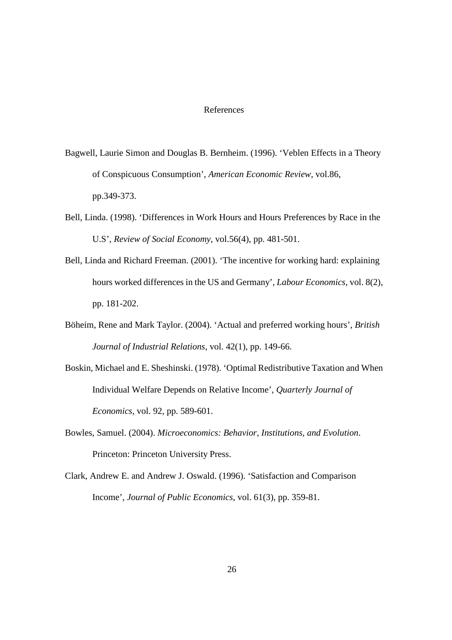#### References

- Bagwell, Laurie Simon and Douglas B. Bernheim. (1996). 'Veblen Effects in a Theory of Conspicuous Consumption', *American Economic Review*, vol.86, pp.349-373.
- Bell, Linda. (1998). 'Differences in Work Hours and Hours Preferences by Race in the U.S', *Review of Social Economy*, vol.56(4), pp. 481-501.
- Bell, Linda and Richard Freeman. (2001). 'The incentive for working hard: explaining hours worked differences in the US and Germany', *Labour Economics*, vol. 8(2), pp. 181-202.
- Böheim, Rene and Mark Taylor. (2004). 'Actual and preferred working hours', *British Journal of Industrial Relations*, vol. 42(1), pp. 149-66.
- Boskin, Michael and E. Sheshinski. (1978). 'Optimal Redistributive Taxation and When Individual Welfare Depends on Relative Income', *Quarterly Journal of Economics*, vol. 92, pp. 589-601.
- Bowles, Samuel. (2004). *Microeconomics: Behavior, Institutions, and Evolution*. Princeton: Princeton University Press.
- Clark, Andrew E. and Andrew J. Oswald. (1996). 'Satisfaction and Comparison Income', *Journal of Public Economics*, vol. 61(3), pp. 359-81.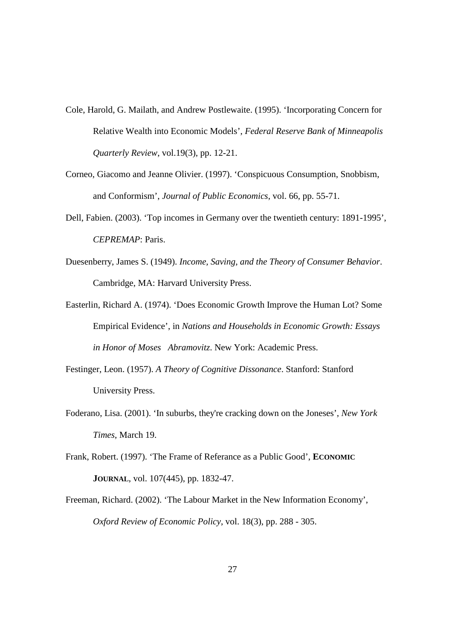- Cole, Harold, G. Mailath, and Andrew Postlewaite. (1995). 'Incorporating Concern for Relative Wealth into Economic Models', *Federal Reserve Bank of Minneapolis Quarterly Review*, vol.19(3), pp. 12-21.
- Corneo, Giacomo and Jeanne Olivier. (1997). 'Conspicuous Consumption, Snobbism, and Conformism', *Journal of Public Economics*, vol. 66, pp. 55-71.
- Dell, Fabien. (2003). 'Top incomes in Germany over the twentieth century: 1891-1995', *CEPREMAP*: Paris.
- Duesenberry, James S. (1949). *Income, Saving, and the Theory of Consumer Behavior*. Cambridge, MA: Harvard University Press.
- Easterlin, Richard A. (1974). 'Does Economic Growth Improve the Human Lot? Some Empirical Evidence', in *Nations and Households in Economic Growth: Essays in Honor of Moses Abramovitz*. New York: Academic Press.
- Festinger, Leon. (1957). *A Theory of Cognitive Dissonance*. Stanford: Stanford University Press.
- Foderano, Lisa. (2001). 'In suburbs, they're cracking down on the Joneses', *New York Times*, March 19.
- Frank, Robert. (1997). 'The Frame of Referance as a Public Good', **ECONOMIC JOURNAL**, vol. 107(445), pp. 1832-47.
- Freeman, Richard. (2002). 'The Labour Market in the New Information Economy', *Oxford Review of Economic Policy*, vol. 18(3), pp. 288 - 305.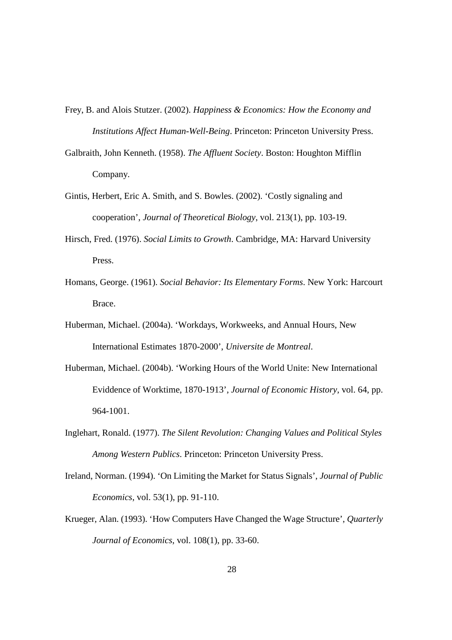- Frey, B. and Alois Stutzer. (2002). *Happiness & Economics: How the Economy and Institutions Affect Human-Well-Being*. Princeton: Princeton University Press.
- Galbraith, John Kenneth. (1958). *The Affluent Society*. Boston: Houghton Mifflin Company.
- Gintis, Herbert, Eric A. Smith, and S. Bowles. (2002). 'Costly signaling and cooperation', *Journal of Theoretical Biology*, vol. 213(1), pp. 103-19.
- Hirsch, Fred. (1976). *Social Limits to Growth*. Cambridge, MA: Harvard University Press.
- Homans, George. (1961). *Social Behavior: Its Elementary Forms*. New York: Harcourt Brace.
- Huberman, Michael. (2004a). 'Workdays, Workweeks, and Annual Hours, New International Estimates 1870-2000', *Universite de Montreal*.
- Huberman, Michael. (2004b). 'Working Hours of the World Unite: New International Eviddence of Worktime, 1870-1913', *Journal of Economic History*, vol. 64, pp. 964-1001.
- Inglehart, Ronald. (1977). *The Silent Revolution: Changing Values and Political Styles Among Western Publics*. Princeton: Princeton University Press.
- Ireland, Norman. (1994). 'On Limiting the Market for Status Signals', *Journal of Public Economics*, vol. 53(1), pp. 91-110.
- Krueger, Alan. (1993). 'How Computers Have Changed the Wage Structure', *Quarterly Journal of Economics*, vol. 108(1), pp. 33-60.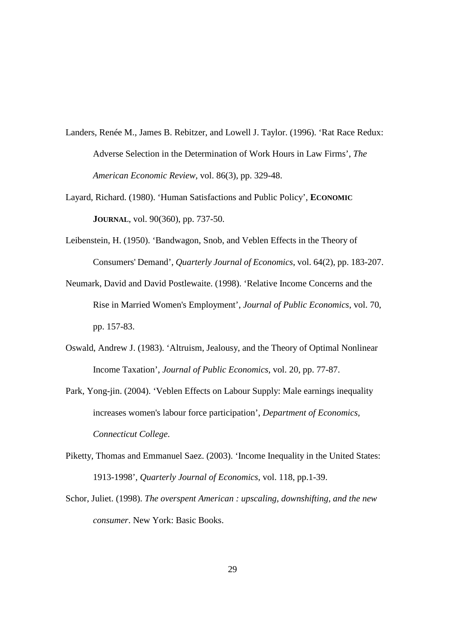- Landers, Renée M., James B. Rebitzer, and Lowell J. Taylor. (1996). 'Rat Race Redux: Adverse Selection in the Determination of Work Hours in Law Firms', *The American Economic Review*, vol. 86(3), pp. 329-48.
- Layard, Richard. (1980). 'Human Satisfactions and Public Policy', **ECONOMIC JOURNAL**, vol. 90(360), pp. 737-50.
- Leibenstein, H. (1950). 'Bandwagon, Snob, and Veblen Effects in the Theory of Consumers' Demand', *Quarterly Journal of Economics*, vol. 64(2), pp. 183-207.
- Neumark, David and David Postlewaite. (1998). 'Relative Income Concerns and the Rise in Married Women's Employment', *Journal of Public Economics*, vol. 70, pp. 157-83.
- Oswald, Andrew J. (1983). 'Altruism, Jealousy, and the Theory of Optimal Nonlinear Income Taxation', *Journal of Public Economics*, vol. 20, pp. 77-87.
- Park, Yong-jin. (2004). 'Veblen Effects on Labour Supply: Male earnings inequality increases women's labour force participation', *Department of Economics, Connecticut College*.
- Piketty, Thomas and Emmanuel Saez. (2003). 'Income Inequality in the United States: 1913-1998', *Quarterly Journal of Economics*, vol. 118, pp.1-39.
- Schor, Juliet. (1998). *The overspent American : upscaling, downshifting, and the new consumer*. New York: Basic Books.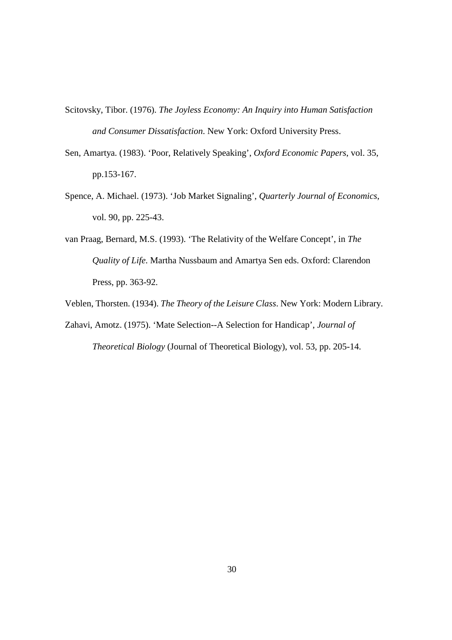- Scitovsky, Tibor. (1976). *The Joyless Economy: An Inquiry into Human Satisfaction and Consumer Dissatisfaction*. New York: Oxford University Press.
- Sen, Amartya. (1983). 'Poor, Relatively Speaking', *Oxford Economic Papers*, vol. 35, pp.153-167.
- Spence, A. Michael. (1973). 'Job Market Signaling', *Quarterly Journal of Economics*, vol. 90, pp. 225-43.
- van Praag, Bernard, M.S. (1993). 'The Relativity of the Welfare Concept', in *The Quality of Life*. Martha Nussbaum and Amartya Sen eds. Oxford: Clarendon Press, pp. 363-92.

Veblen, Thorsten. (1934). *The Theory of the Leisure Class*. New York: Modern Library.

Zahavi, Amotz. (1975). 'Mate Selection--A Selection for Handicap', *Journal of Theoretical Biology* (Journal of Theoretical Biology), vol. 53, pp. 205-14.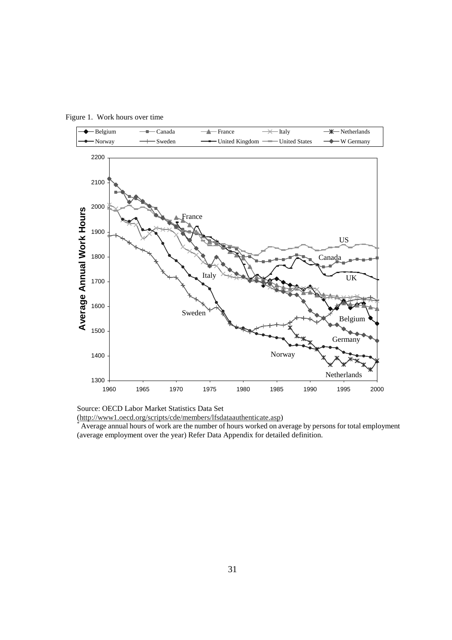

Figure 1. Work hours over time

Source: OECD Labor Market Statistics Data Set

(http://www1.oecd.org/scripts/cde/members/lfsdataauthenticate.asp) \*

 Average annual hours of work are the number of hours worked on average by persons for total employment (average employment over the year) Refer Data Appendix for detailed definition.